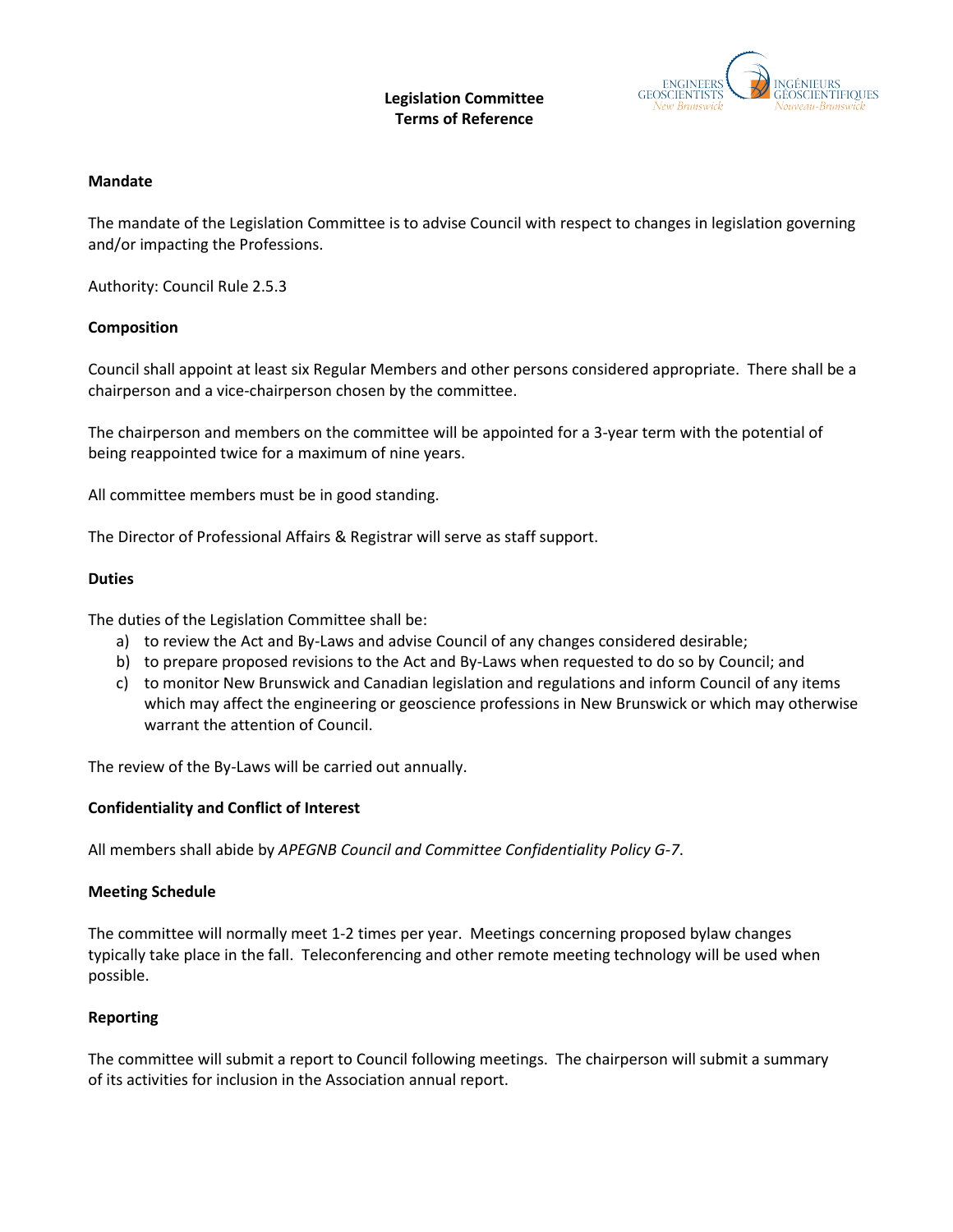## **Legislation Committee Terms of Reference**



### **Mandate**

The mandate of the Legislation Committee is to advise Council with respect to changes in legislation governing and/or impacting the Professions.

Authority: Council Rule 2.5.3

## **Composition**

Council shall appoint at least six Regular Members and other persons considered appropriate. There shall be a chairperson and a vice-chairperson chosen by the committee.

The chairperson and members on the committee will be appointed for a 3-year term with the potential of being reappointed twice for a maximum of nine years.

All committee members must be in good standing.

The Director of Professional Affairs & Registrar will serve as staff support.

#### **Duties**

The duties of the Legislation Committee shall be:

- a) to review the Act and By-Laws and advise Council of any changes considered desirable;
- b) to prepare proposed revisions to the Act and By-Laws when requested to do so by Council; and
- c) to monitor New Brunswick and Canadian legislation and regulations and inform Council of any items which may affect the engineering or geoscience professions in New Brunswick or which may otherwise warrant the attention of Council.

The review of the By-Laws will be carried out annually.

#### **Confidentiality and Conflict of Interest**

All members shall abide by *APEGNB Council and Committee Confidentiality Policy G-7*.

#### **Meeting Schedule**

The committee will normally meet 1-2 times per year. Meetings concerning proposed bylaw changes typically take place in the fall. Teleconferencing and other remote meeting technology will be used when possible.

## **Reporting**

The committee will submit a report to Council following meetings. The chairperson will submit a summary of its activities for inclusion in the Association annual report.